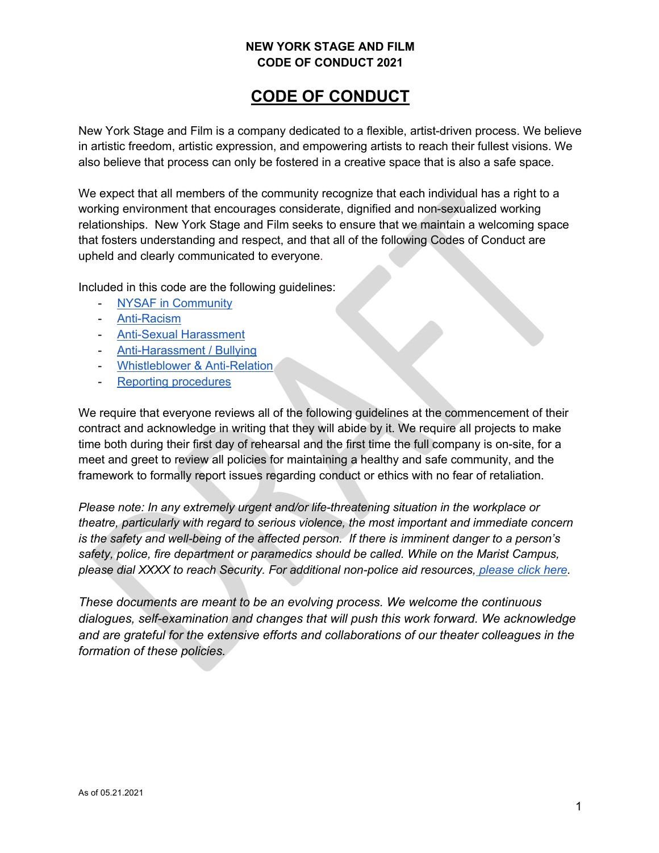# **CODE OF CONDUCT**

New York Stage and Film is a company dedicated to a flexible, artist-driven process. We believe in artistic freedom, artistic expression, and empowering artists to reach their fullest visions. We also believe that process can only be fostered in a creative space that is also a safe space.

We expect that all members of the community recognize that each individual has a right to a working environment that encourages considerate, dignified and non-sexualized working relationships. New York Stage and Film seeks to ensure that we maintain a welcoming space that fosters understanding and respect, and that all of the following Codes of Conduct are upheld and clearly communicated to everyone.

Included in this code are the following guidelines:

- NYSAF in Community
- Anti-Racism
- Anti-Sexual Harassment
- Anti-Harassment / Bullying
- Whistleblower & Anti-Relation
- Reporting procedures

We require that everyone reviews all of the following guidelines at the commencement of their contract and acknowledge in writing that they will abide by it. We require all projects to make time both during their first day of rehearsal and the first time the full company is on-site, for a meet and greet to review all policies for maintaining a healthy and safe community, and the framework to formally report issues regarding conduct or ethics with no fear of retaliation.

*Please note: In any extremely urgent and/or life-threatening situation in the workplace or theatre, particularly with regard to serious violence, the most important and immediate concern is the safety and well-being of the affected person. If there is imminent danger to a person's safety, police, fire department or paramedics should be called. While on the Marist Campus, please dial XXXX to reach Security. For additional non-police aid resources, please click here.*

*These documents are meant to be an evolving process. We welcome the continuous dialogues, self-examination and changes that will push this work forward. We acknowledge and are grateful for the extensive efforts and collaborations of our theater colleagues in the formation of these policies.*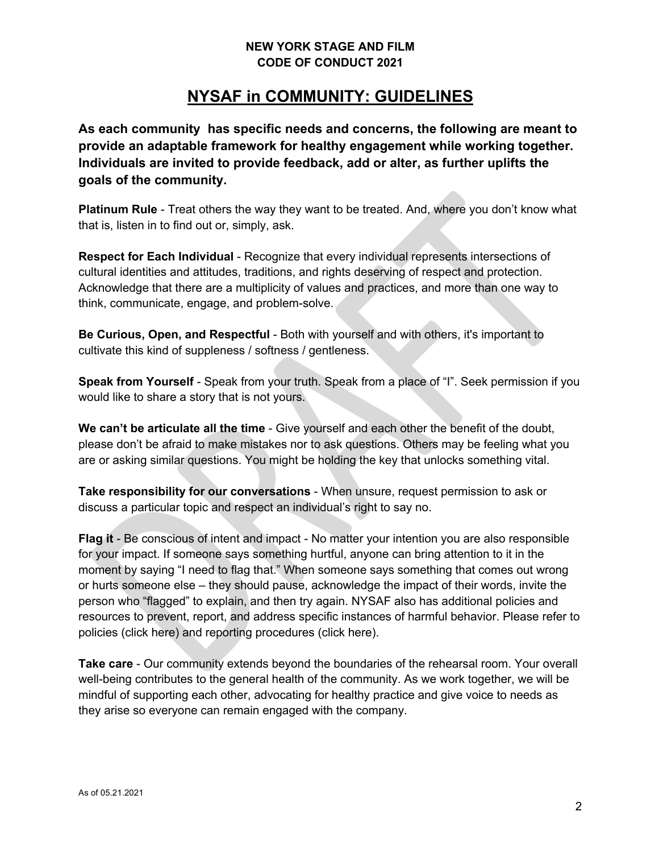## **NYSAF in COMMUNITY: GUIDELINES**

**As each community has specific needs and concerns, the following are meant to provide an adaptable framework for healthy engagement while working together. Individuals are invited to provide feedback, add or alter, as further uplifts the goals of the community.** 

**Platinum Rule** - Treat others the way they want to be treated. And, where you don't know what that is, listen in to find out or, simply, ask.

**Respect for Each Individual** - Recognize that every individual represents intersections of cultural identities and attitudes, traditions, and rights deserving of respect and protection. Acknowledge that there are a multiplicity of values and practices, and more than one way to think, communicate, engage, and problem-solve.

**Be Curious, Open, and Respectful** - Both with yourself and with others, it's important to cultivate this kind of suppleness / softness / gentleness.

**Speak from Yourself** - Speak from your truth. Speak from a place of "I". Seek permission if you would like to share a story that is not yours.

**We can't be articulate all the time** - Give yourself and each other the benefit of the doubt, please don't be afraid to make mistakes nor to ask questions. Others may be feeling what you are or asking similar questions. You might be holding the key that unlocks something vital.

**Take responsibility for our conversations** - When unsure, request permission to ask or discuss a particular topic and respect an individual's right to say no.

**Flag it** - Be conscious of intent and impact - No matter your intention you are also responsible for your impact. If someone says something hurtful, anyone can bring attention to it in the moment by saying "I need to flag that." When someone says something that comes out wrong or hurts someone else – they should pause, acknowledge the impact of their words, invite the person who "flagged" to explain, and then try again. NYSAF also has additional policies and resources to prevent, report, and address specific instances of harmful behavior. Please refer to policies (click here) and reporting procedures (click here).

**Take care** - Our community extends beyond the boundaries of the rehearsal room. Your overall well-being contributes to the general health of the community. As we work together, we will be mindful of supporting each other, advocating for healthy practice and give voice to needs as they arise so everyone can remain engaged with the company.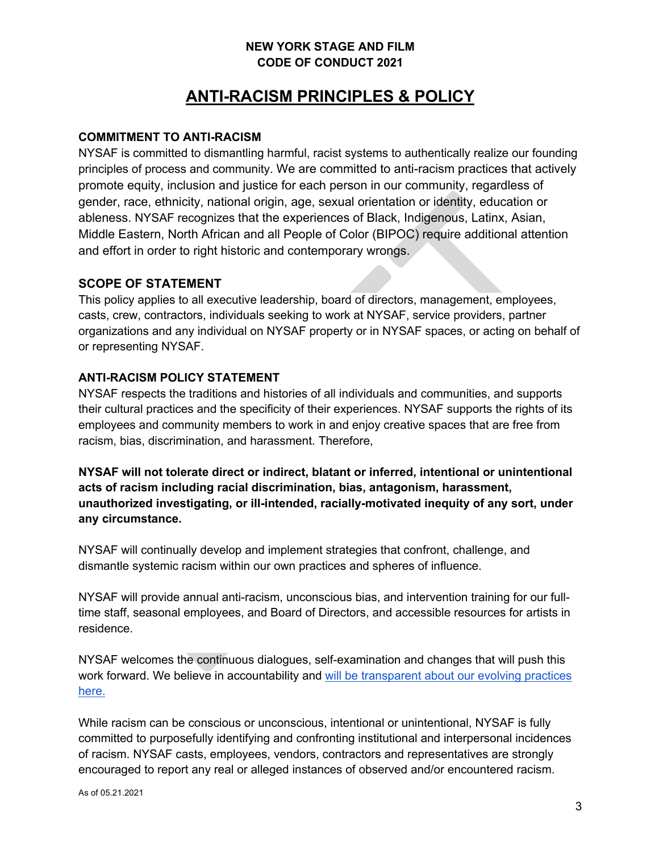# **ANTI-RACISM PRINCIPLES & POLICY**

#### **COMMITMENT TO ANTI-RACISM**

NYSAF is committed to dismantling harmful, racist systems to authentically realize our founding principles of process and community. We are committed to anti-racism practices that actively promote equity, inclusion and justice for each person in our community, regardless of gender, race, ethnicity, national origin, age, sexual orientation or identity, education or ableness. NYSAF recognizes that the experiences of Black, Indigenous, Latinx, Asian, Middle Eastern, North African and all People of Color (BIPOC) require additional attention and effort in order to right historic and contemporary wrongs.

#### **SCOPE OF STATEMENT**

This policy applies to all executive leadership, board of directors, management, employees, casts, crew, contractors, individuals seeking to work at NYSAF, service providers, partner organizations and any individual on NYSAF property or in NYSAF spaces, or acting on behalf of or representing NYSAF.

#### **ANTI-RACISM POLICY STATEMENT**

NYSAF respects the traditions and histories of all individuals and communities, and supports their cultural practices and the specificity of their experiences. NYSAF supports the rights of its employees and community members to work in and enjoy creative spaces that are free from racism, bias, discrimination, and harassment. Therefore,

**NYSAF will not tolerate direct or indirect, blatant or inferred, intentional or unintentional acts of racism including racial discrimination, bias, antagonism, harassment, unauthorized investigating, or ill-intended, racially-motivated inequity of any sort, under any circumstance.** 

NYSAF will continually develop and implement strategies that confront, challenge, and dismantle systemic racism within our own practices and spheres of influence.

NYSAF will provide annual anti-racism, unconscious bias, and intervention training for our fulltime staff, seasonal employees, and Board of Directors, and accessible resources for artists in residence.

NYSAF welcomes the continuous dialogues, self-examination and changes that will push this work forward. We believe in accountability and will be transparent about our evolving practices here.

While racism can be conscious or unconscious, intentional or unintentional, NYSAF is fully committed to purposefully identifying and confronting institutional and interpersonal incidences of racism. NYSAF casts, employees, vendors, contractors and representatives are strongly encouraged to report any real or alleged instances of observed and/or encountered racism.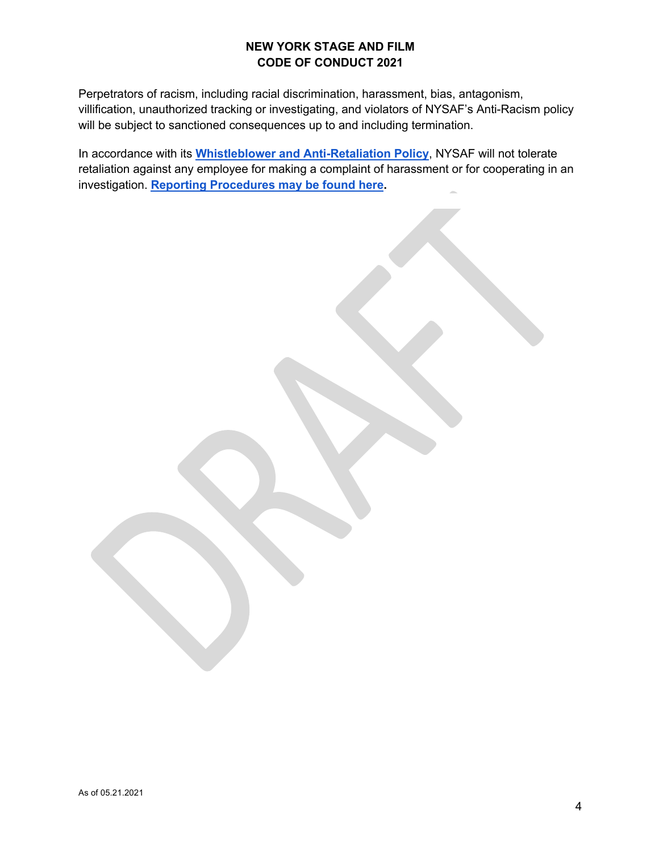Perpetrators of racism, including racial discrimination, harassment, bias, antagonism, villification, unauthorized tracking or investigating, and violators of NYSAF's Anti-Racism policy will be subject to sanctioned consequences up to and including termination.

In accordance with its **Whistleblower and Anti-Retaliation Policy**, NYSAF will not tolerate retaliation against any employee for making a complaint of harassment or for cooperating in an investigation. **Reporting Procedures may be found here.**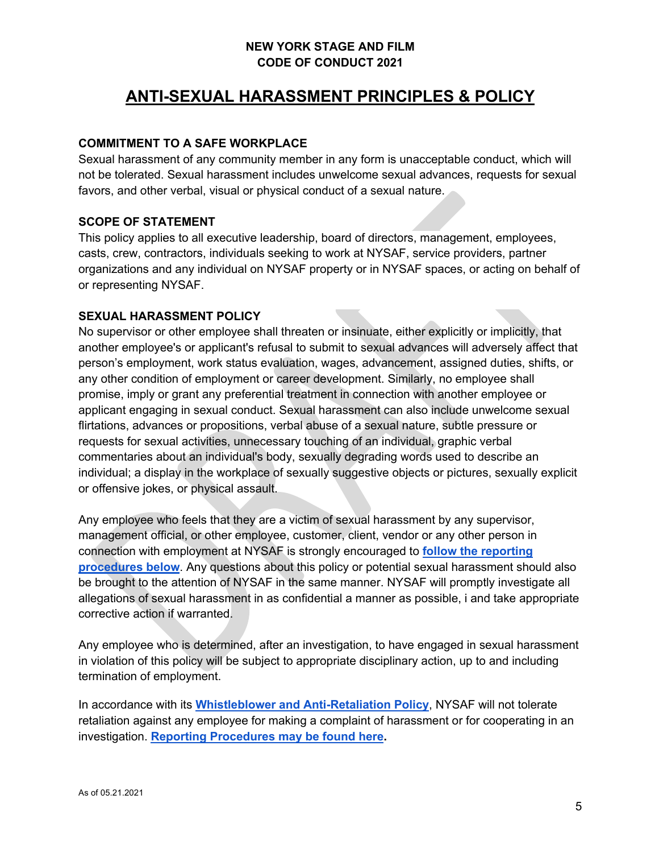# **ANTI-SEXUAL HARASSMENT PRINCIPLES & POLICY**

#### **COMMITMENT TO A SAFE WORKPLACE**

Sexual harassment of any community member in any form is unacceptable conduct, which will not be tolerated. Sexual harassment includes unwelcome sexual advances, requests for sexual favors, and other verbal, visual or physical conduct of a sexual nature.

#### **SCOPE OF STATEMENT**

This policy applies to all executive leadership, board of directors, management, employees, casts, crew, contractors, individuals seeking to work at NYSAF, service providers, partner organizations and any individual on NYSAF property or in NYSAF spaces, or acting on behalf of or representing NYSAF.

#### **SEXUAL HARASSMENT POLICY**

No supervisor or other employee shall threaten or insinuate, either explicitly or implicitly, that another employee's or applicant's refusal to submit to sexual advances will adversely affect that person's employment, work status evaluation, wages, advancement, assigned duties, shifts, or any other condition of employment or career development. Similarly, no employee shall promise, imply or grant any preferential treatment in connection with another employee or applicant engaging in sexual conduct. Sexual harassment can also include unwelcome sexual flirtations, advances or propositions, verbal abuse of a sexual nature, subtle pressure or requests for sexual activities, unnecessary touching of an individual, graphic verbal commentaries about an individual's body, sexually degrading words used to describe an individual; a display in the workplace of sexually suggestive objects or pictures, sexually explicit or offensive jokes, or physical assault.

Any employee who feels that they are a victim of sexual harassment by any supervisor, management official, or other employee, customer, client, vendor or any other person in connection with employment at NYSAF is strongly encouraged to **follow the reporting procedures below**. Any questions about this policy or potential sexual harassment should also be brought to the attention of NYSAF in the same manner. NYSAF will promptly investigate all allegations of sexual harassment in as confidential a manner as possible, i and take appropriate corrective action if warranted.

Any employee who is determined, after an investigation, to have engaged in sexual harassment in violation of this policy will be subject to appropriate disciplinary action, up to and including termination of employment.

In accordance with its **Whistleblower and Anti-Retaliation Policy**, NYSAF will not tolerate retaliation against any employee for making a complaint of harassment or for cooperating in an investigation. **Reporting Procedures may be found here.**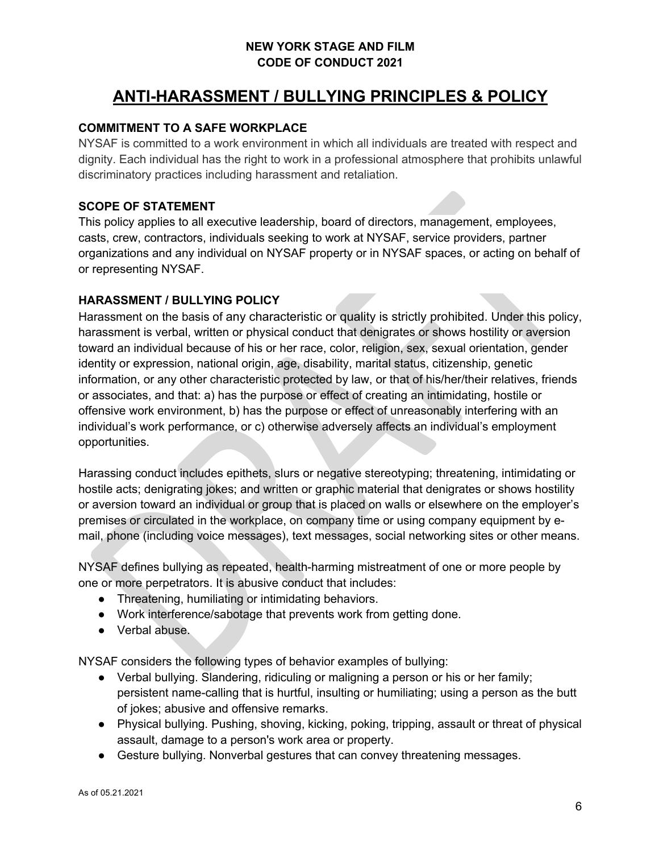# **ANTI-HARASSMENT / BULLYING PRINCIPLES & POLICY**

#### **COMMITMENT TO A SAFE WORKPLACE**

NYSAF is committed to a work environment in which all individuals are treated with respect and dignity. Each individual has the right to work in a professional atmosphere that prohibits unlawful discriminatory practices including harassment and retaliation.

### **SCOPE OF STATEMENT**

This policy applies to all executive leadership, board of directors, management, employees, casts, crew, contractors, individuals seeking to work at NYSAF, service providers, partner organizations and any individual on NYSAF property or in NYSAF spaces, or acting on behalf of or representing NYSAF.

#### **HARASSMENT / BULLYING POLICY**

Harassment on the basis of any characteristic or quality is strictly prohibited. Under this policy, harassment is verbal, written or physical conduct that denigrates or shows hostility or aversion toward an individual because of his or her race, color, religion, sex, sexual orientation, gender identity or expression, national origin, age, disability, marital status, citizenship, genetic information, or any other characteristic protected by law, or that of his/her/their relatives, friends or associates, and that: a) has the purpose or effect of creating an intimidating, hostile or offensive work environment, b) has the purpose or effect of unreasonably interfering with an individual's work performance, or c) otherwise adversely affects an individual's employment opportunities.

Harassing conduct includes epithets, slurs or negative stereotyping; threatening, intimidating or hostile acts; denigrating jokes; and written or graphic material that denigrates or shows hostility or aversion toward an individual or group that is placed on walls or elsewhere on the employer's premises or circulated in the workplace, on company time or using company equipment by email, phone (including voice messages), text messages, social networking sites or other means.

NYSAF defines bullying as repeated, health-harming mistreatment of one or more people by one or more perpetrators. It is abusive conduct that includes:

- Threatening, humiliating or intimidating behaviors.
- Work interference/sabotage that prevents work from getting done.
- Verbal abuse.

NYSAF considers the following types of behavior examples of bullying:

- Verbal bullying. Slandering, ridiculing or maligning a person or his or her family; persistent name-calling that is hurtful, insulting or humiliating; using a person as the butt of jokes; abusive and offensive remarks.
- Physical bullying. Pushing, shoving, kicking, poking, tripping, assault or threat of physical assault, damage to a person's work area or property.
- Gesture bullying. Nonverbal gestures that can convey threatening messages.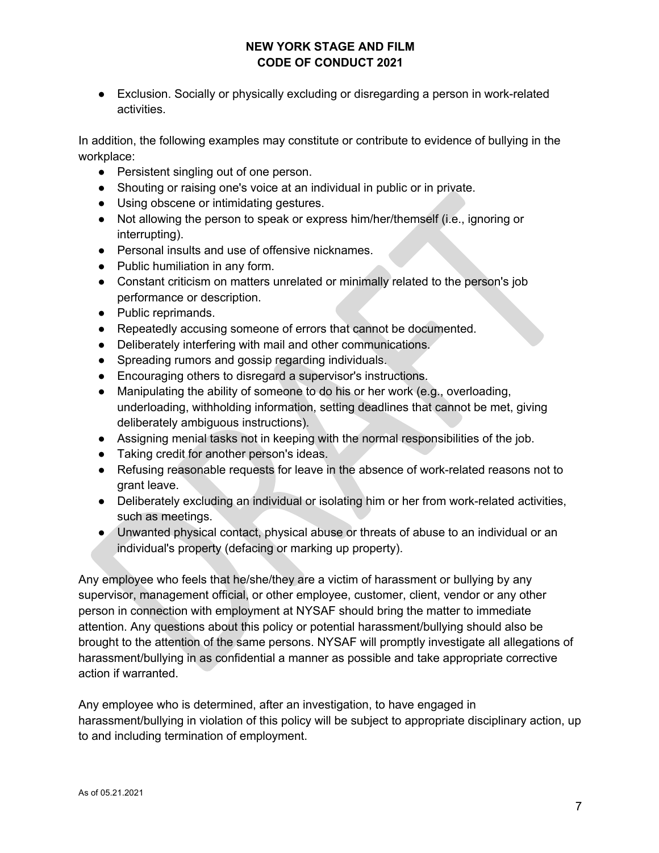● Exclusion. Socially or physically excluding or disregarding a person in work-related activities.

In addition, the following examples may constitute or contribute to evidence of bullying in the workplace:

- Persistent singling out of one person.
- Shouting or raising one's voice at an individual in public or in private.
- Using obscene or intimidating gestures.
- Not allowing the person to speak or express him/her/themself (i.e., ignoring or interrupting).
- Personal insults and use of offensive nicknames.
- Public humiliation in any form.
- Constant criticism on matters unrelated or minimally related to the person's job performance or description.
- Public reprimands.
- Repeatedly accusing someone of errors that cannot be documented.
- Deliberately interfering with mail and other communications.
- Spreading rumors and gossip regarding individuals.
- Encouraging others to disregard a supervisor's instructions.
- Manipulating the ability of someone to do his or her work (e.g., overloading, underloading, withholding information, setting deadlines that cannot be met, giving deliberately ambiguous instructions).
- Assigning menial tasks not in keeping with the normal responsibilities of the job.
- Taking credit for another person's ideas.
- Refusing reasonable requests for leave in the absence of work-related reasons not to grant leave.
- Deliberately excluding an individual or isolating him or her from work-related activities, such as meetings.
- Unwanted physical contact, physical abuse or threats of abuse to an individual or an individual's property (defacing or marking up property).

Any employee who feels that he/she/they are a victim of harassment or bullying by any supervisor, management official, or other employee, customer, client, vendor or any other person in connection with employment at NYSAF should bring the matter to immediate attention. Any questions about this policy or potential harassment/bullying should also be brought to the attention of the same persons. NYSAF will promptly investigate all allegations of harassment/bullying in as confidential a manner as possible and take appropriate corrective action if warranted.

Any employee who is determined, after an investigation, to have engaged in harassment/bullying in violation of this policy will be subject to appropriate disciplinary action, up to and including termination of employment.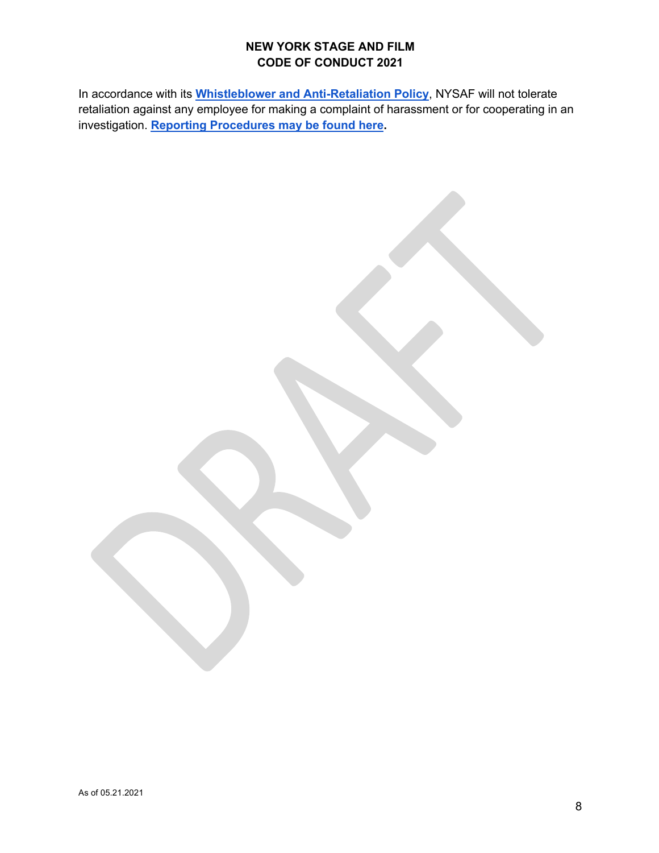In accordance with its **Whistleblower and Anti-Retaliation Policy**, NYSAF will not tolerate retaliation against any employee for making a complaint of harassment or for cooperating in an investigation. **Reporting Procedures may be found here.**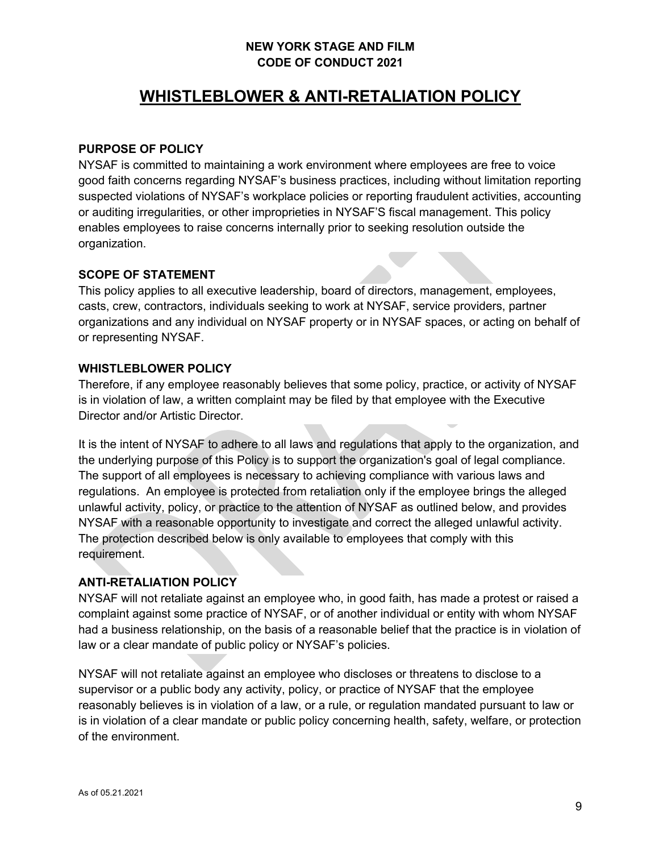# **WHISTLEBLOWER & ANTI-RETALIATION POLICY**

#### **PURPOSE OF POLICY**

NYSAF is committed to maintaining a work environment where employees are free to voice good faith concerns regarding NYSAF's business practices, including without limitation reporting suspected violations of NYSAF's workplace policies or reporting fraudulent activities, accounting or auditing irregularities, or other improprieties in NYSAF'S fiscal management. This policy enables employees to raise concerns internally prior to seeking resolution outside the organization.

#### **SCOPE OF STATEMENT**

This policy applies to all executive leadership, board of directors, management, employees, casts, crew, contractors, individuals seeking to work at NYSAF, service providers, partner organizations and any individual on NYSAF property or in NYSAF spaces, or acting on behalf of or representing NYSAF.

#### **WHISTLEBLOWER POLICY**

Therefore, if any employee reasonably believes that some policy, practice, or activity of NYSAF is in violation of law, a written complaint may be filed by that employee with the Executive Director and/or Artistic Director.

It is the intent of NYSAF to adhere to all laws and regulations that apply to the organization, and the underlying purpose of this Policy is to support the organization's goal of legal compliance. The support of all employees is necessary to achieving compliance with various laws and regulations. An employee is protected from retaliation only if the employee brings the alleged unlawful activity, policy, or practice to the attention of NYSAF as outlined below, and provides NYSAF with a reasonable opportunity to investigate and correct the alleged unlawful activity. The protection described below is only available to employees that comply with this requirement.

### **ANTI-RETALIATION POLICY**

NYSAF will not retaliate against an employee who, in good faith, has made a protest or raised a complaint against some practice of NYSAF, or of another individual or entity with whom NYSAF had a business relationship, on the basis of a reasonable belief that the practice is in violation of law or a clear mandate of public policy or NYSAF's policies.

NYSAF will not retaliate against an employee who discloses or threatens to disclose to a supervisor or a public body any activity, policy, or practice of NYSAF that the employee reasonably believes is in violation of a law, or a rule, or regulation mandated pursuant to law or is in violation of a clear mandate or public policy concerning health, safety, welfare, or protection of the environment.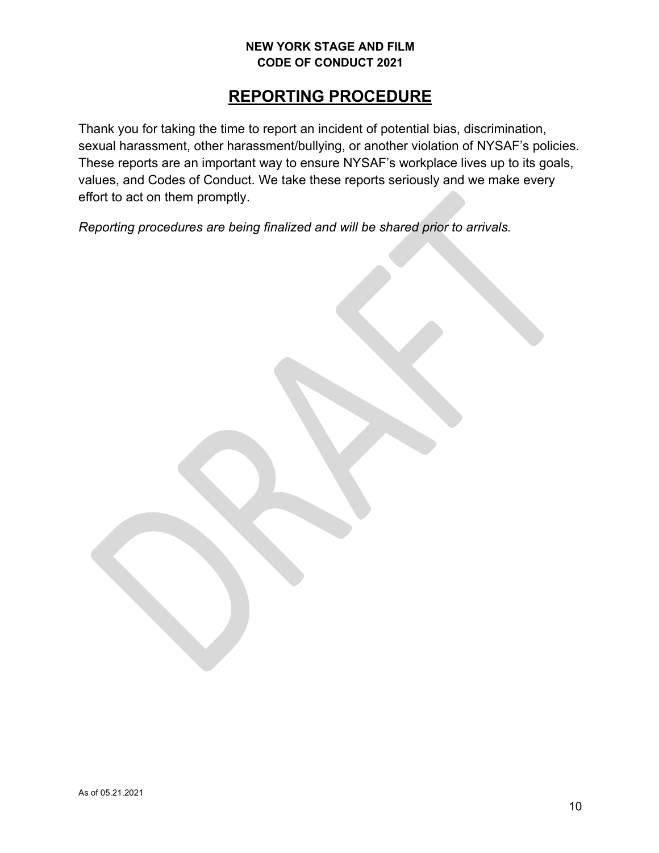# **REPORTING PROCEDURE**

Thank you for taking the time to report an incident of potential bias, discrimination, sexual harassment, other harassment/bullying, or another violation of NYSAF's policies. These reports are an important way to ensure NYSAF's workplace lives up to its goals, values, and Codes of Conduct. We take these reports seriously and we make every effort to act on them promptly.

*Reporting procedures are being finalized and will be shared prior to arrivals.*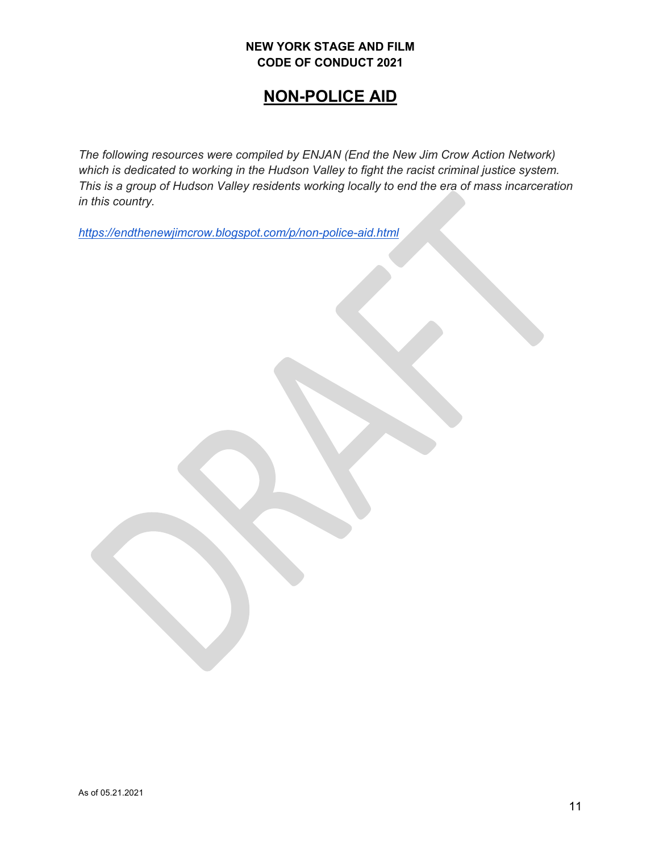# **NON-POLICE AID**

*The following resources were compiled by ENJAN (End the New Jim Crow Action Network) which is dedicated to working in the Hudson Valley to fight the racist criminal justice system. This is a group of Hudson Valley residents working locally to end the era of mass incarceration in this country.*

*https://endthenewjimcrow.blogspot.com/p/non-police-aid.html*